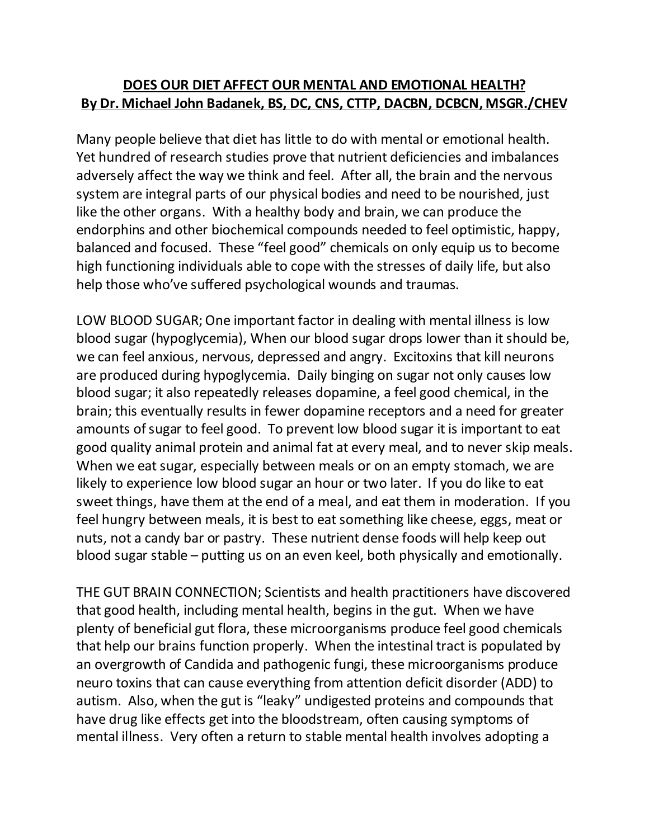## **DOES OUR DIET AFFECT OUR MENTAL AND EMOTIONAL HEALTH? By Dr. Michael John Badanek, BS, DC, CNS, CTTP, DACBN, DCBCN, MSGR./CHEV**

Many people believe that diet has little to do with mental or emotional health. Yet hundred of research studies prove that nutrient deficiencies and imbalances adversely affect the way we think and feel. After all, the brain and the nervous system are integral parts of our physical bodies and need to be nourished, just like the other organs. With a healthy body and brain, we can produce the endorphins and other biochemical compounds needed to feel optimistic, happy, balanced and focused. These "feel good" chemicals on only equip us to become high functioning individuals able to cope with the stresses of daily life, but also help those who've suffered psychological wounds and traumas.

LOW BLOOD SUGAR; One important factor in dealing with mental illness is low blood sugar (hypoglycemia), When our blood sugar drops lower than it should be, we can feel anxious, nervous, depressed and angry. Excitoxins that kill neurons are produced during hypoglycemia. Daily binging on sugar not only causes low blood sugar; it also repeatedly releases dopamine, a feel good chemical, in the brain; this eventually results in fewer dopamine receptors and a need for greater amounts of sugar to feel good. To prevent low blood sugar it is important to eat good quality animal protein and animal fat at every meal, and to never skip meals. When we eat sugar, especially between meals or on an empty stomach, we are likely to experience low blood sugar an hour or two later. If you do like to eat sweet things, have them at the end of a meal, and eat them in moderation. If you feel hungry between meals, it is best to eat something like cheese, eggs, meat or nuts, not a candy bar or pastry. These nutrient dense foods will help keep out blood sugar stable – putting us on an even keel, both physically and emotionally.

THE GUT BRAIN CONNECTION; Scientists and health practitioners have discovered that good health, including mental health, begins in the gut. When we have plenty of beneficial gut flora, these microorganisms produce feel good chemicals that help our brains function properly. When the intestinal tract is populated by an overgrowth of Candida and pathogenic fungi, these microorganisms produce neuro toxins that can cause everything from attention deficit disorder (ADD) to autism. Also, when the gut is "leaky" undigested proteins and compounds that have drug like effects get into the bloodstream, often causing symptoms of mental illness. Very often a return to stable mental health involves adopting a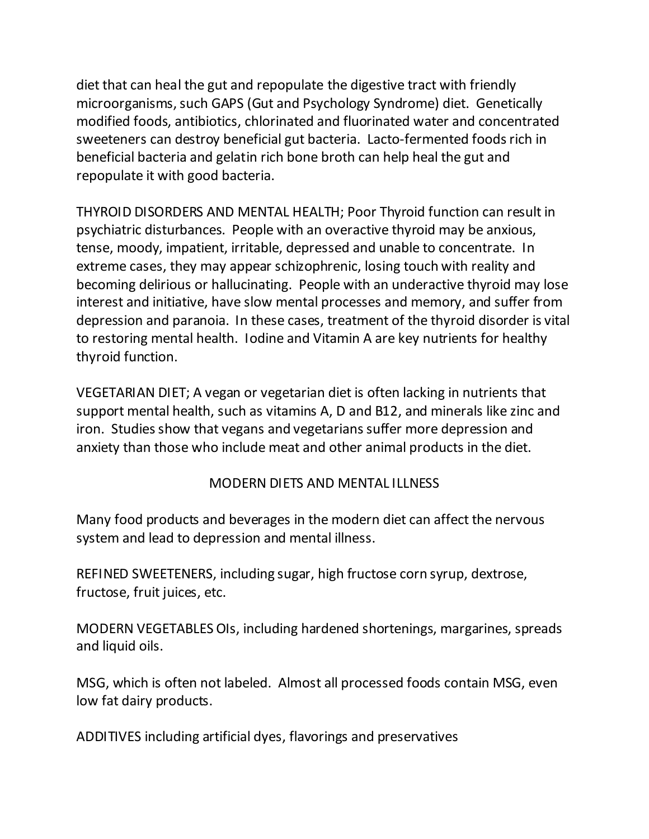diet that can heal the gut and repopulate the digestive tract with friendly microorganisms, such GAPS (Gut and Psychology Syndrome) diet. Genetically modified foods, antibiotics, chlorinated and fluorinated water and concentrated sweeteners can destroy beneficial gut bacteria. Lacto-fermented foods rich in beneficial bacteria and gelatin rich bone broth can help heal the gut and repopulate it with good bacteria.

THYROID DISORDERS AND MENTAL HEALTH; Poor Thyroid function can result in psychiatric disturbances. People with an overactive thyroid may be anxious, tense, moody, impatient, irritable, depressed and unable to concentrate. In extreme cases, they may appear schizophrenic, losing touch with reality and becoming delirious or hallucinating. People with an underactive thyroid may lose interest and initiative, have slow mental processes and memory, and suffer from depression and paranoia. In these cases, treatment of the thyroid disorder is vital to restoring mental health. Iodine and Vitamin A are key nutrients for healthy thyroid function.

VEGETARIAN DIET; A vegan or vegetarian diet is often lacking in nutrients that support mental health, such as vitamins A, D and B12, and minerals like zinc and iron. Studies show that vegans and vegetarians suffer more depression and anxiety than those who include meat and other animal products in the diet.

## MODERN DIETS AND MENTAL ILLNESS

Many food products and beverages in the modern diet can affect the nervous system and lead to depression and mental illness.

REFINED SWEETENERS, including sugar, high fructose corn syrup, dextrose, fructose, fruit juices, etc.

MODERN VEGETABLES OIs, including hardened shortenings, margarines, spreads and liquid oils.

MSG, which is often not labeled. Almost all processed foods contain MSG, even low fat dairy products.

ADDITIVES including artificial dyes, flavorings and preservatives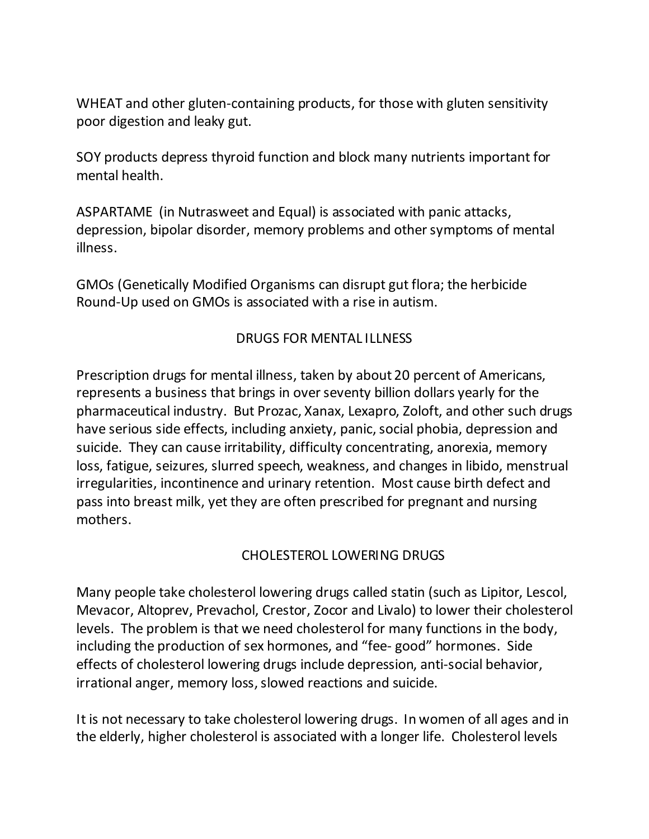WHEAT and other gluten-containing products, for those with gluten sensitivity poor digestion and leaky gut.

SOY products depress thyroid function and block many nutrients important for mental health.

ASPARTAME (in Nutrasweet and Equal) is associated with panic attacks, depression, bipolar disorder, memory problems and other symptoms of mental illness.

GMOs (Genetically Modified Organisms can disrupt gut flora; the herbicide Round-Up used on GMOs is associated with a rise in autism.

## DRUGS FOR MENTAL ILLNESS

Prescription drugs for mental illness, taken by about 20 percent of Americans, represents a business that brings in over seventy billion dollars yearly for the pharmaceutical industry. But Prozac, Xanax, Lexapro, Zoloft, and other such drugs have serious side effects, including anxiety, panic, social phobia, depression and suicide. They can cause irritability, difficulty concentrating, anorexia, memory loss, fatigue, seizures, slurred speech, weakness, and changes in libido, menstrual irregularities, incontinence and urinary retention. Most cause birth defect and pass into breast milk, yet they are often prescribed for pregnant and nursing mothers.

## CHOLESTEROL LOWERING DRUGS

Many people take cholesterol lowering drugs called statin (such as Lipitor, Lescol, Mevacor, Altoprev, Prevachol, Crestor, Zocor and Livalo) to lower their cholesterol levels. The problem is that we need cholesterol for many functions in the body, including the production of sex hormones, and "fee- good" hormones. Side effects of cholesterol lowering drugs include depression, anti-social behavior, irrational anger, memory loss, slowed reactions and suicide.

It is not necessary to take cholesterol lowering drugs. In women of all ages and in the elderly, higher cholesterol is associated with a longer life. Cholesterol levels